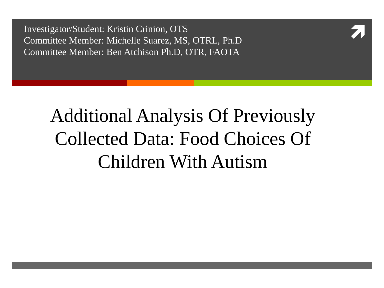I nvestigator/Student: Kristin Crinion, OTS Committee Member: Michelle Suarez, MS, OTRL, Ph.D Committee Member: Ben Atchison Ph.D, OTR, FAOTA



#### Additional Analysis Of Previously Collected Data: Food Choices Of Children With Autism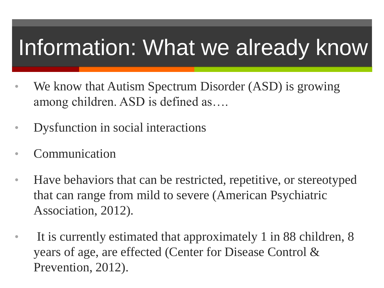### Information: What we already know

- We know that Autism Spectrum Disorder (ASD) is growing among children. ASD is defined as….
- Dysfunction in social interactions
- **Communication**
- Have behaviors that can be restricted, repetitive, or stereotyped that can range from mild to severe (American Psychiatric Association, 2012).
- It is currently estimated that approximately 1 in 88 children, 8 years of age, are effected (Center for Disease Control & Prevention, 2012).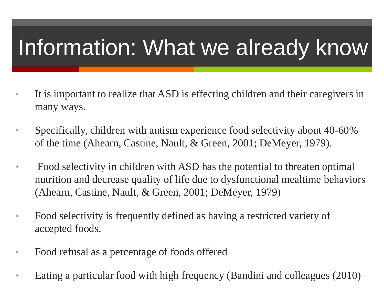# Information: What we already know

- It is important to realize that ASD is effecting children and their caregivers in many ways.
- Specifically, children with autism experience food selectivity about 40-60% of the time (Ahearn, Castine, Nault, & Green, 2001; DeMeyer, 1979).
- Food selectivity in children with ASD has the potential to threaten optimal nutrition and decrease quality of life due to dysfunctional mealtime behaviors (Ahearn, Castine, Nault, & Green, 2001; DeMeyer, 1979)
- Food selectivity is frequently defined as having a restricted variety of accepted foods.
- Food refusal as a percentage of foods offered
- Eating a particular food with high frequency (Bandini and colleagues (2010)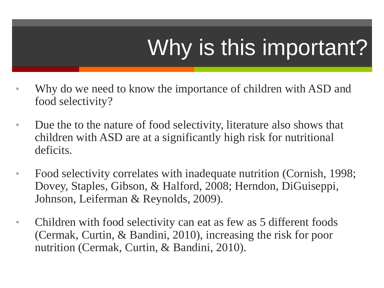# Why is this important?

- Why do we need to know the importance of children with ASD and food selectivity?
- Due the to the nature of food selectivity, literature also shows that children with ASD are at a significantly high risk for nutritional deficits.
- Food selectivity correlates with inadequate nutrition (Cornish, 1998; Dovey, Staples, Gibson, & Halford, 2008; Herndon, DiGuiseppi, Johnson, Leiferman & Reynolds, 2009).
- Children with food selectivity can eat as few as 5 different foods (Cermak, Curtin, & Bandini, 2010), increasing the risk for poor nutrition (Cermak, Curtin, & Bandini, 2010).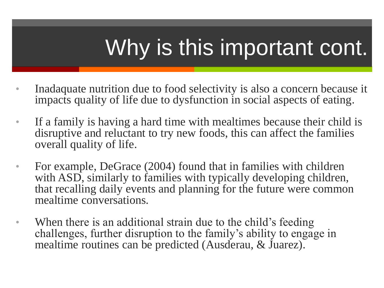# Why is this important cont.

- Inadaquate nutrition due to food selectivity is also a concern because it impacts quality of life due to dysfunction in social aspects of eating.
- If a family is having a hard time with mealtimes because their child is disruptive and reluctant to try new foods, this can affect the families overall quality of life.
- For example, DeGrace (2004) found that in families with children with ASD, similarly to families with typically developing children, that recalling daily events and planning for the future were common mealtime conversations.
- When there is an additional strain due to the child's feeding challenges, further disruption to the family's ability to engage in mealtime routines can be predicted (Ausderau, & Juarez).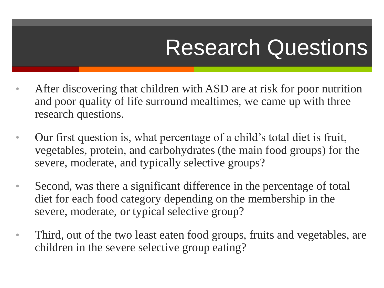### Research Questions

- After discovering that children with ASD are at risk for poor nutrition and poor quality of life surround mealtimes, we came up with three research questions.
- Our first question is, what percentage of a child's total diet is fruit, vegetables, protein, and carbohydrates (the main food groups) for the severe, moderate, and typically selective groups?
- Second, was there a significant difference in the percentage of total diet for each food category depending on the membership in the severe, moderate, or typical selective group?
- Third, out of the two least eaten food groups, fruits and vegetables, are children in the severe selective group eating?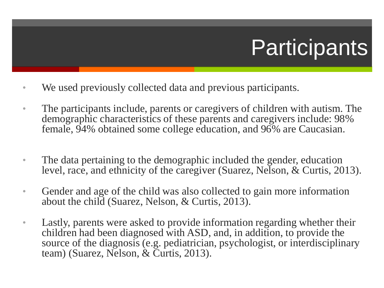# **Participants**

- We used previously collected data and previous participants.
- The participants include, parents or caregivers of children with autism. The demographic characteristics of these parents and caregivers include: 98% female, 94% obtained some college education, and 96% are Caucasian.
- The data pertaining to the demographic included the gender, education level, race, and ethnicity of the caregiver (Suarez, Nelson, & Curtis, 2013).
- Gender and age of the child was also collected to gain more information about the child (Suarez, Nelson, & Curtis, 2013).
- Lastly, parents were asked to provide information regarding whether their children had been diagnosed with ASD, and, in addition, to provide the source of the diagnosis (e.g. pediatrician, psychologist, or interdisciplinary team) (Suarez, Nelson, & Curtis, 2013).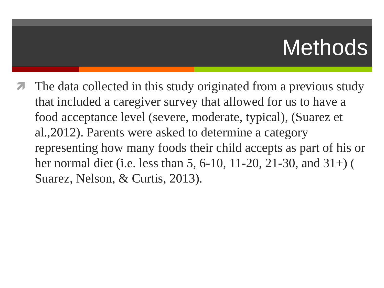### **Methods**

 The data collected in this study originated from a previous study that included a caregiver survey that allowed for us to have a food acceptance level (severe, moderate, typical), (Suarez et al.,2012). Parents were asked to determine a category representing how many foods their child accepts as part of his or her normal diet (i.e. less than 5, 6-10, 11-20, 21-30, and 31+) ( Suarez, Nelson, & Curtis, 2013).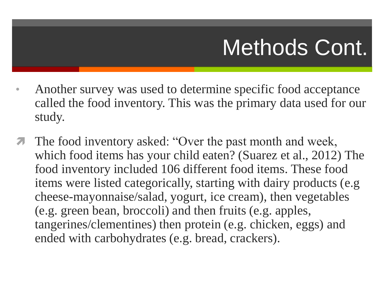### Methods Cont.

- Another survey was used to determine specific food acceptance called the food inventory. This was the primary data used for our study.
- The food inventory asked: "Over the past month and week, which food items has your child eaten? (Suarez et al., 2012) The food inventory included 106 different food items. These food items were listed categorically, starting with dairy products (e.g cheese-mayonnaise/salad, yogurt, ice cream), then vegetables (e.g. green bean, broccoli) and then fruits (e.g. apples, tangerines/clementines) then protein (e.g. chicken, eggs) and ended with carbohydrates (e.g. bread, crackers).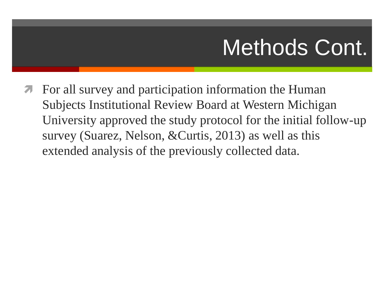### Methods Cont.

 For all survey and participation information the Human Subjects Institutional Review Board at Western Michigan University approved the study protocol for the initial follow-up survey (Suarez, Nelson, &Curtis, 2013) as well as this extended analysis of the previously collected data.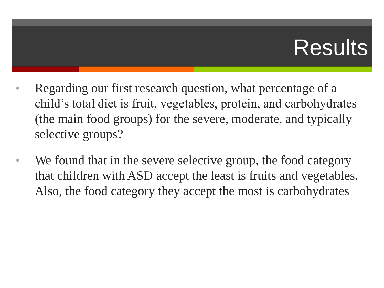### **Results**

- Regarding our first research question, what percentage of a child's total diet is fruit, vegetables, protein, and carbohydrates (the main food groups) for the severe, moderate, and typically selective groups?
- We found that in the severe selective group, the food category that children with ASD accept the least is fruits and vegetables. Also, the food category they accept the most is carbohydrates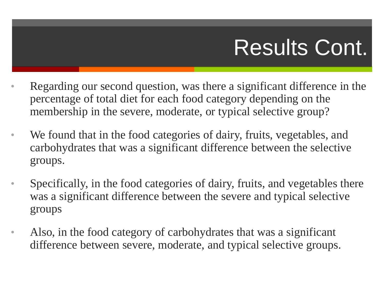# Results Cont.

- Regarding our second question, was there a significant difference in the percentage of total diet for each food category depending on the membership in the severe, moderate, or typical selective group?
- We found that in the food categories of dairy, fruits, vegetables, and carbohydrates that was a significant difference between the selective groups.
- Specifically, in the food categories of dairy, fruits, and vegetables there was a significant difference between the severe and typical selective groups
- Also, in the food category of carbohydrates that was a significant difference between severe, moderate, and typical selective groups.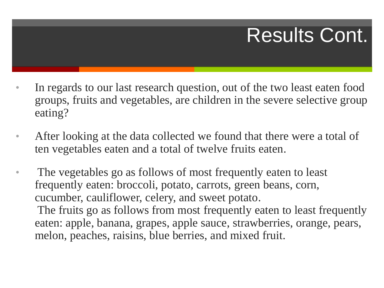#### Results Cont.

- In regards to our last research question, out of the two least eaten food groups, fruits and vegetables, are children in the severe selective group eating?
- After looking at the data collected we found that there were a total of ten vegetables eaten and a total of twelve fruits eaten.
- The vegetables go as follows of most frequently eaten to least frequently eaten: broccoli, potato, carrots, green beans, corn, cucumber, cauliflower, celery, and sweet potato. The fruits go as follows from most frequently eaten to least frequently eaten: apple, banana, grapes, apple sauce, strawberries, orange, pears, melon, peaches, raisins, blue berries, and mixed fruit.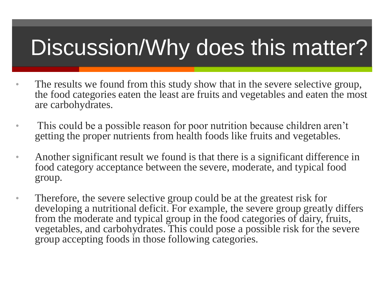### Discussion/Why does this matter?

- The results we found from this study show that in the severe selective group, the food categories eaten the least are fruits and vegetables and eaten the most are carbohydrates.
- This could be a possible reason for poor nutrition because children aren't getting the proper nutrients from health foods like fruits and vegetables.
- Another significant result we found is that there is a significant difference in food category acceptance between the severe, moderate, and typical food group.
- Therefore, the severe selective group could be at the greatest risk for developing a nutritional deficit. For example, the severe group greatly differs from the moderate and typical group in the food categories of dairy, fruits, vegetables, and carbohydrates. This could pose a possible risk for the severe group accepting foods in those following categories.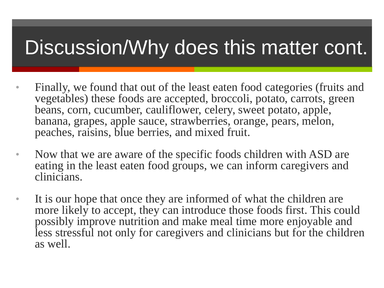#### Discussion/Why does this matter cont.

- Finally, we found that out of the least eaten food categories (fruits and vegetables) these foods are accepted, broccoli, potato, carrots, green beans, corn, cucumber, cauliflower, celery, sweet potato, apple, banana, grapes, apple sauce, strawberries, orange, pears, melon, peaches, raisins, blue berries, and mixed fruit.
- Now that we are aware of the specific foods children with ASD are eating in the least eaten food groups, we can inform caregivers and clinicians.
- It is our hope that once they are informed of what the children are more likely to accept, they can introduce those foods first. This could possibly improve nutrition and make meal time more enjoyable and less stressful not only for caregivers and clinicians but for the children as well.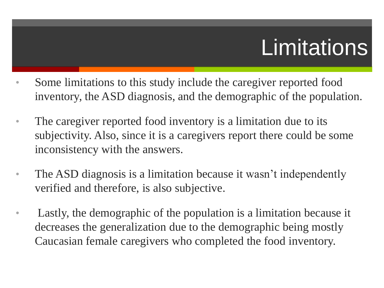# **Limitations**

- Some limitations to this study include the caregiver reported food inventory, the ASD diagnosis, and the demographic of the population.
- The caregiver reported food inventory is a limitation due to its subjectivity. Also, since it is a caregivers report there could be some inconsistency with the answers.
- The ASD diagnosis is a limitation because it wasn't independently verified and therefore, is also subjective.
- Lastly, the demographic of the population is a limitation because it decreases the generalization due to the demographic being mostly Caucasian female caregivers who completed the food inventory.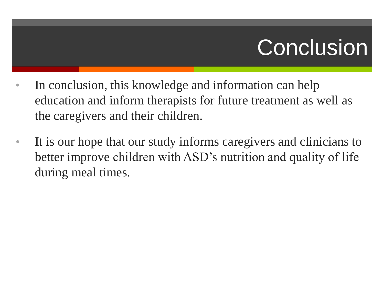### **Conclusion**

- In conclusion, this knowledge and information can help education and inform therapists for future treatment as well as the caregivers and their children.
- It is our hope that our study informs caregivers and clinicians to better improve children with ASD's nutrition and quality of life during meal times.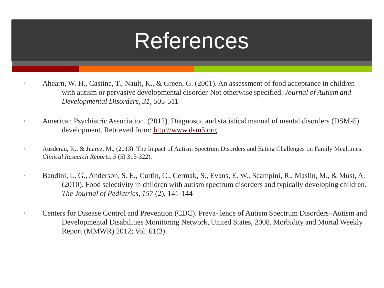### References

- Ahearn, W. H., Castine, T., Nault, K., & Green, G. (2001). An assessment of food acceptance in children with autism or pervasive developmental disorder-Not otherwise specified. *Journal of Autism and Developmental Disorders, 31,* 505-511
- American Psychiatric Association. (2012). Diagnostic and statistical manual of mental disorders (DSM-5) development. Retrieved from: <http://www.dsm5.org>
- Ausderau, K., & Juarez, M., (2013). The Impact of Autism Spectrum Disorders and Eating Challenges on Family Mealtimes. *Clinical Research Reports. 5* (5) 315-322).
- Bandini, L. G., Anderson, S. E., Curtin, C., Cermak, S., Evans, E. W., Scampini, R., Maslin, M., & Must, A. (2010). Food selectivity in children with autism spectrum disorders and typically developing children. *The Journal of Pediatrics, 157* (2), 141-144
- Centers for Disease Control and Prevention (CDC). Preva-lence of Autism Spectrum Disorders–Autism and Developmental Disabilities Monitoring Network, United States, 2008. Morbidity and Mortal Weekly Report (MMWR) 2012; Vol. 61(3).